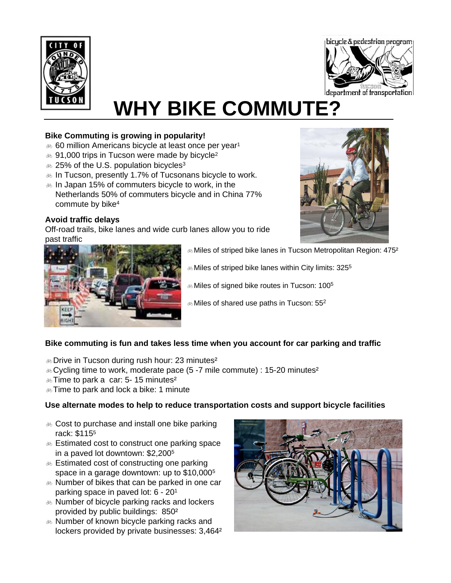



# **WHY BIKE COMMUTE?**

# **Bike Commuting is growing in popularity!**

- $\&$  60 million Americans bicycle at least once per year<sup>1</sup>
- $\&$  91,000 trips in Tucson were made by bicycle<sup>2</sup>
- $\text{E}$  25% of the U.S. population bicycles<sup>3</sup>
- $\&$  In Tucson, presently 1.7% of Tucsonans bicycle to work.
- $\infty$  In Japan 15% of commuters bicycle to work, in the Netherlands 50% of commuters bicycle and in China 77% commute by bike4

# **Avoid traffic delays**

Off-road trails, bike lanes and wide curb lanes allow you to ride past traffic





- $E_{\odot}$  Miles of striped bike lanes in Tucson Metropolitan Region: 475<sup>2</sup>
- $\&$  Miles of striped bike lanes within City limits: 325<sup>5</sup>
- $\&$  Miles of signed bike routes in Tucson: 100<sup>5</sup>
- $\&$  Miles of shared use paths in Tucson: 55<sup>2</sup>

# **Bike commuting is fun and takes less time when you account for car parking and traffic**

- $\&$  Drive in Tucson during rush hour: 23 minutes<sup>2</sup>
- $\&$  Cycling time to work, moderate pace (5-7 mile commute) : 15-20 minutes<sup>2</sup>
- $\&$  Time to park a car: 5-15 minutes<sup>2</sup>
- $\triangle$  Time to park and lock a bike: 1 minute

# **Use alternate modes to help to reduce transportation costs and support bicycle facilities**

- $\&$  Cost to purchase and install one bike parking rack: \$1155
- $\&$  Estimated cost to construct one parking space in a paved lot downtown: \$2,2005
- & Estimated cost of constructing one parking space in a garage downtown: up to \$10,0005
- $\&$  Number of bikes that can be parked in one car parking space in paved lot: 6 - 201
- $\&$  Number of bicycle parking racks and lockers provided by public buildings: 850²
- $\&$  Number of known bicycle parking racks and lockers provided by private businesses: 3,464²